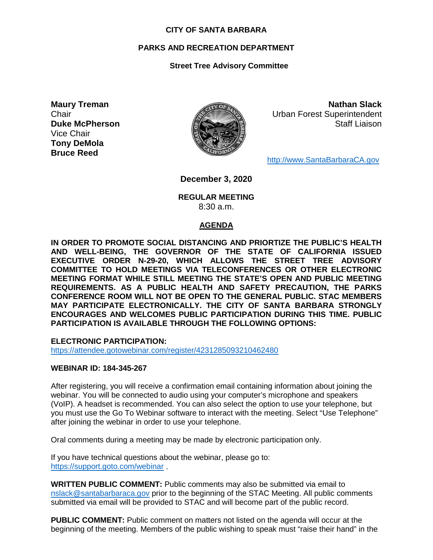#### **CITY OF SANTA BARBARA**

## **PARKS AND RECREATION DEPARTMENT**

# **Street Tree Advisory Committee**

**Maury Treman Chair Duke McPherson** Vice Chair **Tony DeMola Bruce Reed**



**Nathan Slack** Urban Forest Superintendent Staff Liaison

[http://www.SantaBarbaraCA.gov](http://www.santabarbaraca.gov/)

**December 3, 2020**

**REGULAR MEETING** 8:30 a.m.

## **AGENDA**

**IN ORDER TO PROMOTE SOCIAL DISTANCING AND PRIORTIZE THE PUBLIC'S HEALTH AND WELL-BEING, THE GOVERNOR OF THE STATE OF CALIFORNIA ISSUED EXECUTIVE ORDER N-29-20, WHICH ALLOWS THE STREET TREE ADVISORY COMMITTEE TO HOLD MEETINGS VIA TELECONFERENCES OR OTHER ELECTRONIC MEETING FORMAT WHILE STILL MEETING THE STATE'S OPEN AND PUBLIC MEETING REQUIREMENTS. AS A PUBLIC HEALTH AND SAFETY PRECAUTION, THE PARKS CONFERENCE ROOM WILL NOT BE OPEN TO THE GENERAL PUBLIC. STAC MEMBERS MAY PARTICIPATE ELECTRONICALLY. THE CITY OF SANTA BARBARA STRONGLY ENCOURAGES AND WELCOMES PUBLIC PARTICIPATION DURING THIS TIME. PUBLIC PARTICIPATION IS AVAILABLE THROUGH THE FOLLOWING OPTIONS:**

**ELECTRONIC PARTICIPATION:**  <https://attendee.gotowebinar.com/register/4231285093210462480>

## **WEBINAR ID: 184-345-267**

After registering, you will receive a confirmation email containing information about joining the webinar. You will be connected to audio using your computer's microphone and speakers (VoIP). A headset is recommended. You can also select the option to use your telephone, but you must use the Go To Webinar software to interact with the meeting. Select "Use Telephone" after joining the webinar in order to use your telephone.

Oral comments during a meeting may be made by electronic participation only.

If you have technical questions about the webinar, please go to: <https://support.goto.com/webinar> .

**WRITTEN PUBLIC COMMENT:** Public comments may also be submitted via email to [nslack@santabarbaraca.gov](mailto:nslack@santabarbaraca.gov) prior to the beginning of the STAC Meeting. All public comments submitted via email will be provided to STAC and will become part of the public record.

**PUBLIC COMMENT:** Public comment on matters not listed on the agenda will occur at the beginning of the meeting. Members of the public wishing to speak must "raise their hand" in the